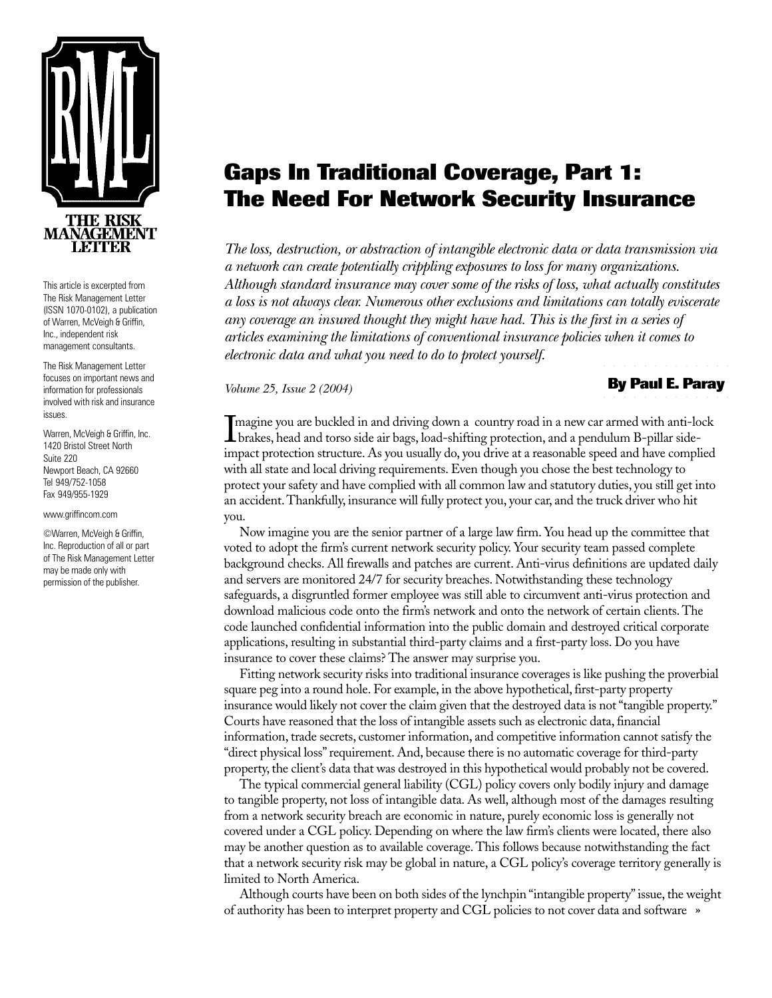

This article is excerpted from The Risk Management Letter (ISSN 1070-0102), a publication of Warren, McVeigh & Griffin, Inc., independent risk management consultants.

The Risk Management Letter focuses on important news and information for professionals involved with risk and insurance issues.

Warren, McVeigh & Griffin, Inc. 1420 Bristol Street North Suite 220 Newport Beach, CA 92660 Tel 949/752-1058 Fax 949/955-1929

www.griffincom.com

©Warren, McVeigh & Griffin, Inc. Reproduction of all or part of The Risk Management Letter may be made only with permission of the publisher.

## **Gaps In Traditional Coverage, Part 1: The Need For Network Security Insurance**

*The loss, destruction, or abstraction of intangible electronic data or data transmission via a network can create potentially crippling exposures to loss for many organizations. Although standard insurance may cover some of the risks of loss, what actually constitutes a loss is not always clear. Numerous other exclusions and limitations can totally eviscerate any coverage an insured thought they might have had. This is the first in a series of articles examining the limitations of conventional insurance policies when it comes to electronic data and what you need to do to protect yourself.*

*Volume 25, Issue 2 (2004)*

## ○ ○○○○○○○○○○○○ ○ ○○○○○○○○○○○○ **By Paul E. Paray**

Imagine you are buckled in and driving down a country road in a new car armed with anti-lock<br>brakes, head and torso side air bags, load-shifting protection, and a pendulum B-pillar side-<br>impact protection attracture. As yo brakes, head and torso side air bags, load-shifting protection, and a pendulum B-pillar sideimpact protection structure. As you usually do, you drive at a reasonable speed and have complied with all state and local driving requirements. Even though you chose the best technology to protect your safety and have complied with all common law and statutory duties, you still get into an accident. Thankfully, insurance will fully protect you, your car, and the truck driver who hit you.

Now imagine you are the senior partner of a large law firm. You head up the committee that voted to adopt the firm's current network security policy. Your security team passed complete background checks. All firewalls and patches are current. Anti-virus definitions are updated daily and servers are monitored 24/7 for security breaches. Notwithstanding these technology safeguards, a disgruntled former employee was still able to circumvent anti-virus protection and download malicious code onto the firm's network and onto the network of certain clients. The code launched confidential information into the public domain and destroyed critical corporate applications, resulting in substantial third-party claims and a first-party loss. Do you have insurance to cover these claims? The answer may surprise you.

Fitting network security risks into traditional insurance coverages is like pushing the proverbial square peg into a round hole. For example, in the above hypothetical, first-party property insurance would likely not cover the claim given that the destroyed data is not "tangible property." Courts have reasoned that the loss of intangible assets such as electronic data, financial information, trade secrets, customer information, and competitive information cannot satisfy the "direct physical loss" requirement. And, because there is no automatic coverage for third-party property, the client's data that was destroyed in this hypothetical would probably not be covered.

The typical commercial general liability (CGL) policy covers only bodily injury and damage to tangible property, not loss of intangible data. As well, although most of the damages resulting from a network security breach are economic in nature, purely economic loss is generally not covered under a CGL policy. Depending on where the law firm's clients were located, there also may be another question as to available coverage. This follows because notwithstanding the fact that a network security risk may be global in nature, a CGL policy's coverage territory generally is limited to North America.

» of authority has been to interpret property and CGL policies to not cover data and software Although courts have been on both sides of the lynchpin "intangible property" issue, the weight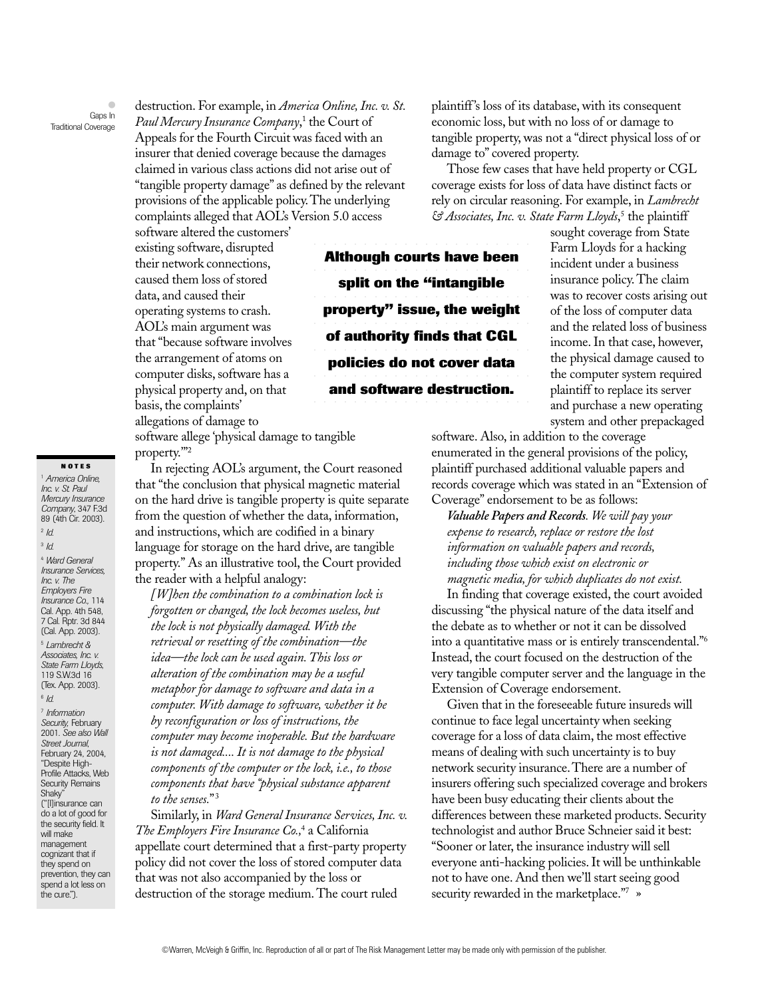$\bullet$ Gaps In Traditional Coverage

destruction. For example, in *America Online, Inc. v. St. Paul Mercury Insurance Company*, 1 the Court of Appeals for the Fourth Circuit was faced with an insurer that denied coverage because the damages claimed in various class actions did not arise out of "tangible property damage" as defined by the relevant provisions of the applicable policy. The underlying complaints alleged that AOL's Version 5.0 access

software altered the customers' existing software, disrupted their network connections, caused them loss of stored data, and caused their operating systems to crash. AOL's main argument was that "because software involves the arrangement of atoms on computer disks, software has a physical property and, on that basis, the complaints' allegations of damage to

software allege 'physical damage to tangible property.'"2

In rejecting AOL's argument, the Court reasoned that "the conclusion that physical magnetic material on the hard drive is tangible property is quite separate from the question of whether the data, information, and instructions, which are codified in a binary language for storage on the hard drive, are tangible property." As an illustrative tool, the Court provided the reader with a helpful analogy:

*[W]hen the combination to a combination lock is forgotten or changed, the lock becomes useless, but the lock is not physically damaged. With the retrieval or resetting of the combination—the idea—the lock can be used again. This loss or alteration of the combination may be a useful metaphor for damage to software and data in a computer. With damage to software, whether it be by reconfiguration or loss of instructions, the computer may become inoperable. But the hardware is not damaged.... It is not damage to the physical components of the computer or the lock, i.e., to those components that have "physical substance apparent to the senses.*"3

Similarly, in *Ward General Insurance Services, Inc. v. The Employers Fire Insurance Co.,*<sup>4</sup> a California appellate court determined that a first-party property policy did not cover the loss of stored computer data that was not also accompanied by the loss or destruction of the storage medium. The court ruled

plaintiff's loss of its database, with its consequent economic loss, but with no loss of or damage to tangible property, was not a "direct physical loss of or damage to" covered property.

Those few cases that have held property or CGL coverage exists for loss of data have distinct facts or rely on circular reasoning. For example, in *Lambrecht & Associates, Inc. v. State Farm Lloyds*, 5 the plaintiff

○ ○ ○ ○ ○ ○ ○ ○ ○ ○ ○ ○ ○ ○ ○ ○ ○ ○ ○ ○○○ **Although courts have been** ○ ○ ○ ○ ○ ○ ○ ○ ○ ○ ○ ○ ○ ○ ○ ○ ○ ○ ○ ○○○ **split on the "intangible** ○ ○ ○ ○ ○ ○ ○ ○ ○ ○ ○ ○ ○ ○ ○ ○ ○ ○ ○ ○○○ **property" issue, the weight** ○ ○ ○ ○ ○ ○ ○ ○ ○ ○ ○ ○ ○ ○ ○ ○ ○ ○ ○ ○○○ **of authority finds that CGL** ○ ○ ○ ○ ○ ○ ○ ○ ○ ○ ○ ○ ○ ○ ○ ○ ○ ○ ○ ○○○ **policies do not cover data** ○ ○ ○ ○ ○ ○ ○ ○ ○ ○ ○ ○ ○ ○ ○ ○ ○ ○ ○ ○○○ **and software destruction.**

○ ○ ○ ○ ○ ○ ○ ○ ○ ○ ○ ○ ○ ○ ○ ○ ○ ○ ○ ○○○

sought coverage from State Farm Lloyds for a hacking incident under a business insurance policy. The claim was to recover costs arising out of the loss of computer data and the related loss of business income. In that case, however, the physical damage caused to the computer system required plaintiff to replace its server and purchase a new operating system and other prepackaged

software. Also, in addition to the coverage enumerated in the general provisions of the policy, plaintiff purchased additional valuable papers and records coverage which was stated in an "Extension of Coverage" endorsement to be as follows:

*Valuable Papers and Records. We will pay your expense to research, replace or restore the lost information on valuable papers and records, including those which exist on electronic or magnetic media, for which duplicates do not exist.*

In finding that coverage existed, the court avoided discussing "the physical nature of the data itself and the debate as to whether or not it can be dissolved into a quantitative mass or is entirely transcendental."6 Instead, the court focused on the destruction of the very tangible computer server and the language in the Extension of Coverage endorsement.

Given that in the foreseeable future insureds will continue to face legal uncertainty when seeking coverage for a loss of data claim, the most effective means of dealing with such uncertainty is to buy network security insurance. There are a number of insurers offering such specialized coverage and brokers have been busy educating their clients about the differences between these marketed products. Security technologist and author Bruce Schneier said it best: "Sooner or later, the insurance industry will sell everyone anti-hacking policies. It will be unthinkable not to have one. And then we'll start seeing good security rewarded in the marketplace."7 »

## **NOTES**

<sup>1</sup> *America Online, Inc. v. St. Paul Mercury Insurance Company*, 347 F.3d 89 (4th Cir. 2003). <sup>2</sup> *Id.* <sup>3</sup> *Id.*

<sup>4</sup> *Ward General Insurance Services, Inc. v. The Employers Fire Insurance Co.,* 114 Cal. App. 4th 548, 7 Cal. Rptr. 3d 844 (Cal. App. 2003).

<sup>5</sup> *Lambrecht & Associates, Inc. v. State Farm Lloyds*, 119 S.W.3d 16 (Tex. App. 2003). <sup>6</sup> *Id.*

<sup>7</sup> *Information Security,* February 2001. *See also Wall Street Journal*, February 24, 2004, "Despite High-Profile Attacks, Web Security Remains Shaky" ("[I]insurance can do a lot of good for the security field. It will make management cognizant that if they spend on prevention, they can spend a lot less on the cure.").